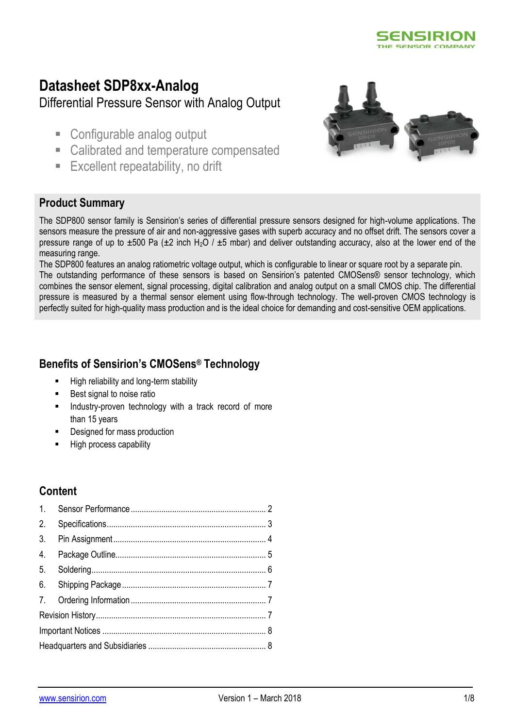

# **Datasheet SDP8xx-Analog** Differential Pressure Sensor with Analog Output

- Configurable analog output
- Calibrated and temperature compensated
- **Excellent repeatability, no drift**



### **Product Summary**

The SDP800 sensor family is Sensirion's series of differential pressure sensors designed for high-volume applications. The sensors measure the pressure of air and non-aggressive gases with superb accuracy and no offset drift. The sensors cover a pressure range of up to  $\pm 500$  Pa ( $\pm 2$  inch H<sub>2</sub>O /  $\pm 5$  mbar) and deliver outstanding accuracy, also at the lower end of the measuring range.

The SDP800 features an analog ratiometric voltage output, which is configurable to linear or square root by a separate pin. The outstanding performance of these sensors is based on Sensirion's patented CMOSens® sensor technology, which combines the sensor element, signal processing, digital calibration and analog output on a small CMOS chip. The differential pressure is measured by a thermal sensor element using flow-through technology. The well-proven CMOS technology is perfectly suited for high-quality mass production and is the ideal choice for demanding and cost-sensitive OEM applications.

### **Benefits of Sensirion's CMOSens® Technology**

- High reliability and long-term stability
- Best signal to noise ratio
- **Industry-proven technology with a track record of more** than 15 years
- Designed for mass production
- High process capability

## **Content**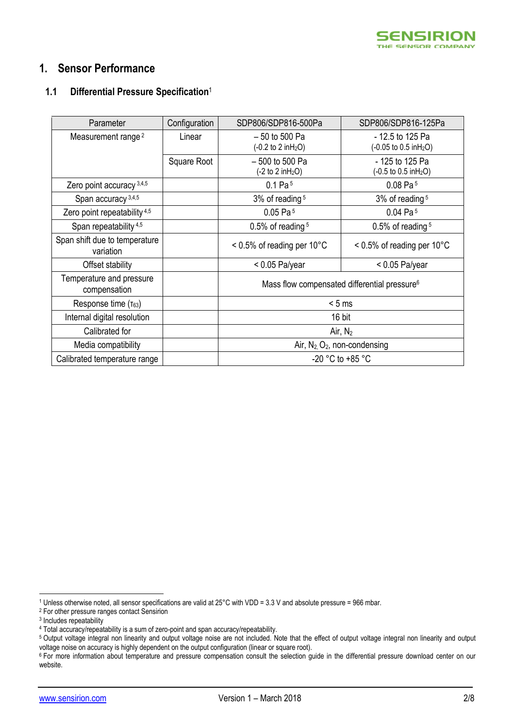

### <span id="page-1-0"></span>**1. Sensor Performance**

#### **1.1 Differential Pressure Specification**<sup>1</sup>

<span id="page-1-3"></span><span id="page-1-2"></span><span id="page-1-1"></span>

| Parameter                                  | Configuration | SDP806/SDP816-500Pa                                        | SDP806/SDP816-125Pa                                            |
|--------------------------------------------|---------------|------------------------------------------------------------|----------------------------------------------------------------|
| Measurement range <sup>2</sup>             | Linear        | $-50$ to 500 Pa<br>$(-0.2 \text{ to } 2 \text{ in } H_2O)$ | - 12.5 to 125 Pa<br>$(-0.05 \text{ to } 0.5 \text{ in } H_2O)$ |
|                                            | Square Root   | $-500$ to 500 Pa<br>$(-2 to 2 in H2O)$                     | - 125 to 125 Pa<br>$(-0.5 \text{ to } 0.5 \text{ in } H_2O)$   |
| Zero point accuracy 3,4,5                  |               | 0.1 Pa <sup>5</sup>                                        | $0.08$ Pa <sup>5</sup>                                         |
| Span accuracy 3,4,5                        |               | 3% of reading <sup>5</sup>                                 | 3% of reading $5$                                              |
| Zero point repeatability 4,5               |               | $0.05$ Pa $5$                                              | $0.04$ Pa <sup>5</sup>                                         |
| Span repeatability <sup>4,5</sup>          |               | $0.5\%$ of reading $5$                                     | $0.5\%$ of reading $5$                                         |
| Span shift due to temperature<br>variation |               | $< 0.5\%$ of reading per 10 $^{\circ}$ C                   | $< 0.5\%$ of reading per 10 $^{\circ}$ C                       |
| Offset stability                           |               | $< 0.05$ Pa/year                                           | $< 0.05$ Pa/year                                               |
| Temperature and pressure<br>compensation   |               |                                                            | Mass flow compensated differential pressure <sup>6</sup>       |
| Response time $(\tau_{63})$                |               |                                                            | < 5 ms                                                         |
| Internal digital resolution                |               |                                                            | 16 bit                                                         |
| Calibrated for                             |               |                                                            | Air, $N_2$                                                     |
| Media compatibility                        |               | Air, $N_2$ , $O_2$ , non-condensing                        |                                                                |
| Calibrated temperature range               |               | $-20$ °C to $+85$ °C                                       |                                                                |

-

<sup>1</sup> Unless otherwise noted, all sensor specifications are valid at 25°C with VDD = 3.3 V and absolute pressure = 966 mbar.

<sup>2</sup> For other pressure ranges contact Sensirion

<sup>&</sup>lt;sup>3</sup> Includes repeatability

<sup>4</sup> Total accuracy/repeatability is a sum of zero-point and span accuracy/repeatability.

<sup>5</sup> Output voltage integral non linearity and output voltage noise are not included. Note that the effect of output voltage integral non linearity and output voltage noise on accuracy is highly dependent on the output configuration (linear or square root).

<sup>&</sup>lt;sup>6</sup> For more information about temperature and pressure compensation consult the selection guide in the differential pressure download center on our website.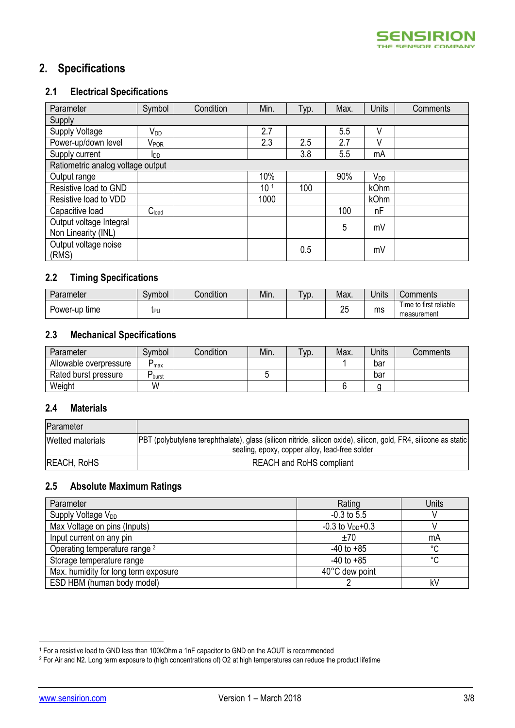# <span id="page-2-0"></span>**2. Specifications**

### <span id="page-2-1"></span>**2.1 Electrical Specifications**

| Parameter                         | Symbol                    | Condition | Min.            | Typ. | Max. | Units           | Comments |
|-----------------------------------|---------------------------|-----------|-----------------|------|------|-----------------|----------|
| Supply                            |                           |           |                 |      |      |                 |          |
| Supply Voltage                    | V <sub>DD</sub>           |           | 2.7             |      | 5.5  | V               |          |
| Power-up/down level               | $\mathsf{V}_\mathsf{POR}$ |           | 2.3             | 2.5  | 2.7  | V               |          |
| Supply current                    | <b>I</b> DD               |           |                 | 3.8  | 5.5  | mA              |          |
| Ratiometric analog voltage output |                           |           |                 |      |      |                 |          |
| Output range                      |                           |           | 10%             |      | 90%  | V <sub>DD</sub> |          |
| Resistive load to GND             |                           |           | 10 <sup>1</sup> | 100  |      | <b>kOhm</b>     |          |
| Resistive load to VDD             |                           |           | 1000            |      |      | kOhm            |          |
| Capacitive load                   | C <sub>load</sub>         |           |                 |      | 100  | nF              |          |
| Output voltage Integral           |                           |           |                 |      | 5    | mV              |          |
| Non Linearity (INL)               |                           |           |                 |      |      |                 |          |
| Output voltage noise              |                           |           |                 | 0.5  |      | mV              |          |
| (RMS)                             |                           |           |                 |      |      |                 |          |

### **2.2 Timing Specifications**

| 'arameter     | ivmbol | 1.1.1<br>Condition | Min. | ' vr<br><b>v</b> ~ | Max.    | $\cdot$ .<br><b>Jnits</b> | Comments                              |
|---------------|--------|--------------------|------|--------------------|---------|---------------------------|---------------------------------------|
| Power-up time | IPU    |                    |      |                    | ΩE<br>∼ | ms                        | Time to first reliable<br>measurement |

#### **2.3 Mechanical Specifications**

| Parameter              | Symbol     | Condition | Min. | $\tau$ yp. | Max. | Jnits | Comments |
|------------------------|------------|-----------|------|------------|------|-------|----------|
| Allowable overpressure | D<br>max   |           |      |            |      | bar   |          |
| Rated burst pressure   | D<br>burst |           |      |            |      | bar   |          |
| Weight                 | W          |           |      |            |      |       |          |

#### **2.4 Materials**

| Parameter          |                                                                                                                  |
|--------------------|------------------------------------------------------------------------------------------------------------------|
| Wetted materials   | PBT (polybutylene terephthalate), glass (silicon nitride, silicon oxide), silicon, gold, FR4, silicone as static |
|                    | sealing, epoxy, copper alloy, lead-free solder                                                                   |
| <b>REACH, RoHS</b> | <b>REACH and RoHS compliant</b>                                                                                  |

#### **2.5 Absolute Maximum Ratings**

| Parameter                                | Rating                 | Units   |
|------------------------------------------|------------------------|---------|
| Supply Voltage V <sub>DD</sub>           | $-0.3$ to 5.5          |         |
| Max Voltage on pins (Inputs)             | $-0.3$ to $V_{DD}+0.3$ |         |
| Input current on any pin                 | ±70                    | mA      |
| Operating temperature range <sup>2</sup> | $-40$ to $+85$         | °C      |
| Storage temperature range                | $-40$ to $+85$         | $\circ$ |
| Max. humidity for long term exposure     | 40°C dew point         |         |
| ESD HBM (human body model)               |                        | k٧      |

<sup>-</sup><sup>1</sup> For a resistive load to GND less than 100kOhm a 1nF capacitor to GND on the AOUT is recommended

<sup>2</sup> For Air and N2. Long term exposure to (high concentrations of) O2 at high temperatures can reduce the product lifetime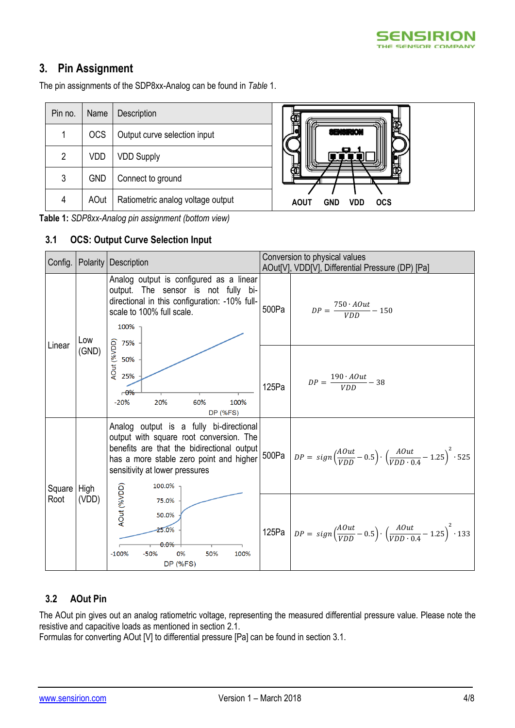

## <span id="page-3-0"></span>**3. Pin Assignment**

The pin assignments of the SDP8xx-Analog can be found in *[Table](#page-3-1)* 1.

| Pin no. | Name       | Description                       |
|---------|------------|-----------------------------------|
|         | <b>OCS</b> | Output curve selection input      |
| 2       | VDD        | <b>VDD Supply</b>                 |
| 3       | <b>GND</b> | Connect to ground                 |
| 4       | AOut       | Ratiometric analog voltage output |



<span id="page-3-1"></span>**Table 1:** *SDP8xx-Analog pin assignment (bottom view)*

#### <span id="page-3-2"></span>**3.1 OCS: Output Curve Selection Input**

|               |       | Config.   Polarity   Description                                                                                                                                                                                        | Conversion to physical values |                                                                                                                       |  |  |
|---------------|-------|-------------------------------------------------------------------------------------------------------------------------------------------------------------------------------------------------------------------------|-------------------------------|-----------------------------------------------------------------------------------------------------------------------|--|--|
|               |       | Analog output is configured as a linear<br>output. The sensor is not fully bi-<br>directional in this configuration: -10% full-                                                                                         | 500Pa                         | AOut[V], VDD[V], Differential Pressure (DP) [Pa]<br>$DP = \frac{750 \cdot AOut}{VDD} - 150$                           |  |  |
| Linear        | Low   | scale to 100% full scale.<br>100%                                                                                                                                                                                       |                               |                                                                                                                       |  |  |
|               | (GND) | $-0\%$<br>20%<br>60%<br>100%<br>$-20%$<br><b>DP (%FS)</b>                                                                                                                                                               | 125Pa                         | $DP = \frac{190 \cdot AOut}{VDD} - 38$                                                                                |  |  |
| Square   High |       | Analog output is a fully bi-directional<br>output with square root conversion. The<br>benefits are that the bidirectional output<br>has a more stable zero point and higher<br>sensitivity at lower pressures<br>100.0% |                               | 500Pa $DP = sign(\frac{AOut}{VDD} - 0.5) \cdot (\frac{AOut}{VDD \cdot 0.4} - 1.25)^2 \cdot 525$                       |  |  |
| Root          | (VDD) | AOut (%VDD)<br>75.0%<br>50.0%<br>25.0%<br>$0.0\%$<br>$-100%$<br>0%<br>50%<br>$-50%$<br>100%<br><b>DP (%FS)</b>                                                                                                          |                               | 125Pa $DP = sign\left(\frac{AOut}{VDD} - 0.5\right) \cdot \left(\frac{AOut}{VDD \cdot 0.4} - 1.25\right)^2 \cdot 133$ |  |  |

#### **3.2 AOut Pin**

The AOut pin gives out an analog ratiometric voltage, representing the measured differential pressure value. Please note the resistive and capacitive loads as mentioned in section [2.1.](#page-2-1)

Formulas for converting AOut [V] to differential pressure [Pa] can be found in section [3.1.](#page-3-2)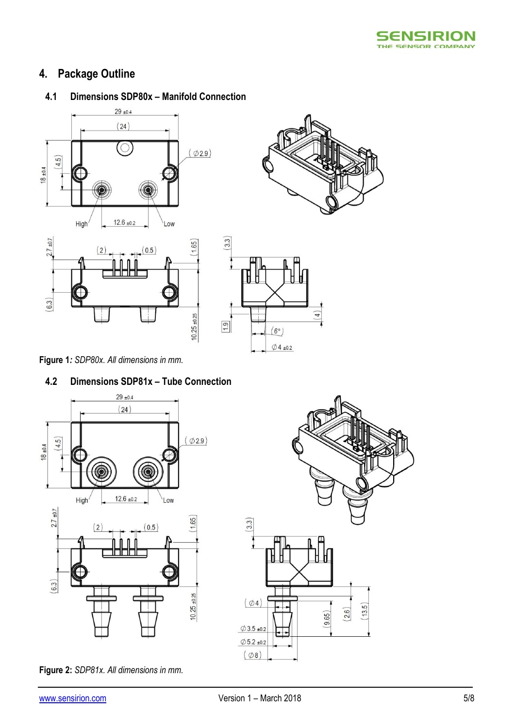

# <span id="page-4-0"></span>**4. Package Outline**

### **4.1 Dimensions SDP80x – Manifold Connection**









**Figure 1***: SDP80x. All dimensions in mm.*

### **4.2 Dimensions SDP81x – Tube Connection**



**Figure 2:** *SDP81x. All dimensions in mm.*

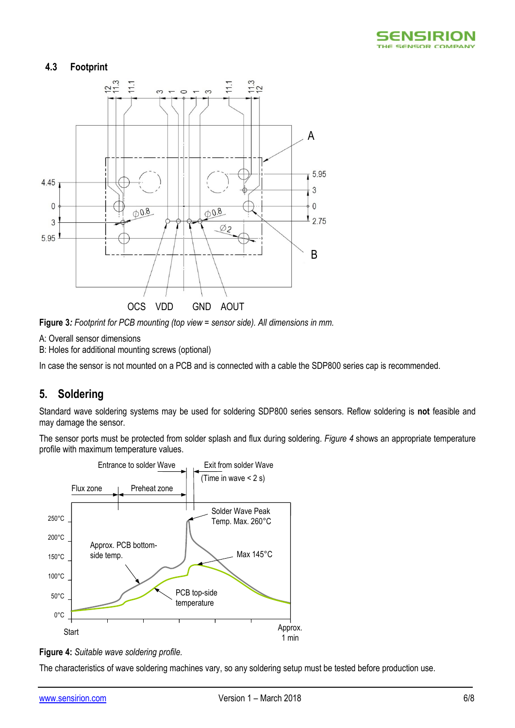

#### **4.3 Footprint**



**Figure 3***: Footprint for PCB mounting (top view = sensor side). All dimensions in mm.*

A: Overall sensor dimensions

B: Holes for additional mounting screws (optional)

<span id="page-5-0"></span>In case the sensor is not mounted on a PCB and is connected with a cable the SDP800 series cap is recommended.

### **5. Soldering**

Standard wave soldering systems may be used for soldering SDP800 series sensors. Reflow soldering is **not** feasible and may damage the sensor.

The sensor ports must be protected from solder splash and flux during soldering. *[Figure 4](#page-5-1)* shows an appropriate temperature profile with maximum temperature values.



<span id="page-5-1"></span>

The characteristics of wave soldering machines vary, so any soldering setup must be tested before production use.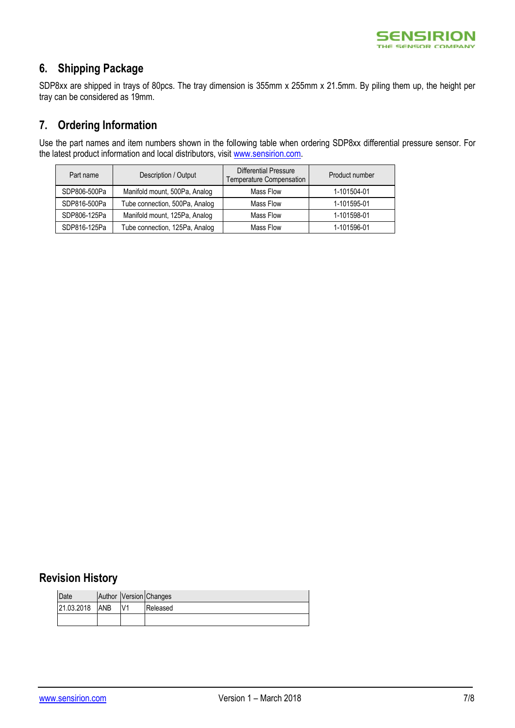

## <span id="page-6-0"></span>**6. Shipping Package**

SDP8xx are shipped in trays of 80pcs. The tray dimension is 355mm x 255mm x 21.5mm. By piling them up, the height per tray can be considered as 19mm.

### <span id="page-6-1"></span>**7. Ordering Information**

Use the part names and item numbers shown in the following table when ordering SDP8xx differential pressure sensor. For the latest product information and local distributors, visit [www.sensirion.com.](http://www.sensirion.com/)

| Description / Output<br>Part name |                                | <b>Differential Pressure</b><br>Temperature Compensation | Product number |
|-----------------------------------|--------------------------------|----------------------------------------------------------|----------------|
| SDP806-500Pa                      | Manifold mount, 500Pa, Analog  | Mass Flow                                                | 1-101504-01    |
| SDP816-500Pa                      | Tube connection, 500Pa, Analog | Mass Flow                                                | 1-101595-01    |
| SDP806-125Pa                      | Manifold mount, 125Pa, Analog  | Mass Flow                                                | 1-101598-01    |
| SDP816-125Pa                      | Tube connection, 125Pa, Analog | Mass Flow                                                | 1-101596-01    |

## <span id="page-6-2"></span>**Revision History**

| Date       |            | Author Version Changes |
|------------|------------|------------------------|
| 21.03.2018 | <b>ANB</b> | Released               |
|            |            |                        |